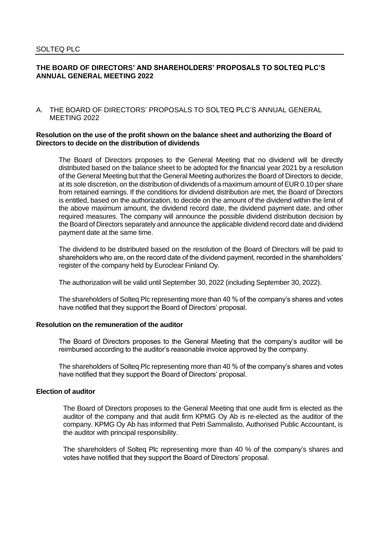# **THE BOARD OF DIRECTORS' AND SHAREHOLDERS' PROPOSALS TO SOLTEQ PLC'S ANNUAL GENERAL MEETING 2022**

A. THE BOARD OF DIRECTORS' PROPOSALS TO SOLTEQ PLC'S ANNUAL GENERAL MEETING 2022

### **Resolution on the use of the profit shown on the balance sheet and authorizing the Board of Directors to decide on the distribution of dividends**

The Board of Directors proposes to the General Meeting that no dividend will be directly distributed based on the balance sheet to be adopted for the financial year 2021 by a resolution of the General Meeting but that the General Meeting authorizes the Board of Directors to decide, at its sole discretion, on the distribution of dividends of a maximum amount of EUR 0.10 per share from retained earnings. If the conditions for dividend distribution are met, the Board of Directors is entitled, based on the authorization, to decide on the amount of the dividend within the limit of the above maximum amount, the dividend record date, the dividend payment date, and other required measures. The company will announce the possible dividend distribution decision by the Board of Directors separately and announce the applicable dividend record date and dividend payment date at the same time.

The dividend to be distributed based on the resolution of the Board of Directors will be paid to shareholders who are, on the record date of the dividend payment, recorded in the shareholders' register of the company held by Euroclear Finland Oy.

The authorization will be valid until September 30, 2022 (including September 30, 2022).

The shareholders of Solteq Plc representing more than 40 % of the company's shares and votes have notified that they support the Board of Directors' proposal.

# **Resolution on the remuneration of the auditor**

The Board of Directors proposes to the General Meeting that the company's auditor will be reimbursed according to the auditor's reasonable invoice approved by the company.

The shareholders of Solteq Plc representing more than 40 % of the company's shares and votes have notified that they support the Board of Directors' proposal.

#### **Election of auditor**

The Board of Directors proposes to the General Meeting that one audit firm is elected as the auditor of the company and that audit firm KPMG Oy Ab is re-elected as the auditor of the company. KPMG Oy Ab has informed that Petri Sammalisto, Authorised Public Accountant, is the auditor with principal responsibility.

The shareholders of Solteq Plc representing more than 40 % of the company's shares and votes have notified that they support the Board of Directors' proposal.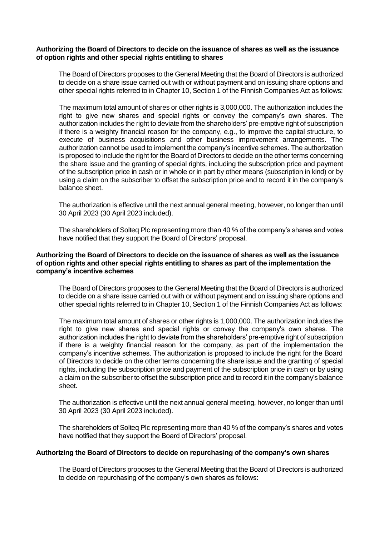### **Authorizing the Board of Directors to decide on the issuance of shares as well as the issuance of option rights and other special rights entitling to shares**

The Board of Directors proposes to the General Meeting that the Board of Directors is authorized to decide on a share issue carried out with or without payment and on issuing share options and other special rights referred to in Chapter 10, Section 1 of the Finnish Companies Act as follows:

The maximum total amount of shares or other rights is 3,000,000. The authorization includes the right to give new shares and special rights or convey the company's own shares. The authorization includes the right to deviate from the shareholders' pre-emptive right of subscription if there is a weighty financial reason for the company, e.g., to improve the capital structure, to execute of business acquisitions and other business improvement arrangements. The authorization cannot be used to implement the company's incentive schemes. The authorization is proposed to include the right for the Board of Directors to decide on the other terms concerning the share issue and the granting of special rights, including the subscription price and payment of the subscription price in cash or in whole or in part by other means (subscription in kind) or by using a claim on the subscriber to offset the subscription price and to record it in the company's balance sheet.

The authorization is effective until the next annual general meeting, however, no longer than until 30 April 2023 (30 April 2023 included).

The shareholders of Solteq Plc representing more than 40 % of the company's shares and votes have notified that they support the Board of Directors' proposal.

# **Authorizing the Board of Directors to decide on the issuance of shares as well as the issuance of option rights and other special rights entitling to shares as part of the implementation the company's incentive schemes**

The Board of Directors proposes to the General Meeting that the Board of Directors is authorized to decide on a share issue carried out with or without payment and on issuing share options and other special rights referred to in Chapter 10, Section 1 of the Finnish Companies Act as follows:

The maximum total amount of shares or other rights is 1,000,000. The authorization includes the right to give new shares and special rights or convey the company's own shares. The authorization includes the right to deviate from the shareholders' pre-emptive right of subscription if there is a weighty financial reason for the company, as part of the implementation the company's incentive schemes. The authorization is proposed to include the right for the Board of Directors to decide on the other terms concerning the share issue and the granting of special rights, including the subscription price and payment of the subscription price in cash or by using a claim on the subscriber to offset the subscription price and to record it in the company's balance sheet.

The authorization is effective until the next annual general meeting, however, no longer than until 30 April 2023 (30 April 2023 included).

The shareholders of Solteq Plc representing more than 40 % of the company's shares and votes have notified that they support the Board of Directors' proposal.

### **Authorizing the Board of Directors to decide on repurchasing of the company's own shares**

The Board of Directors proposes to the General Meeting that the Board of Directors is authorized to decide on repurchasing of the company's own shares as follows: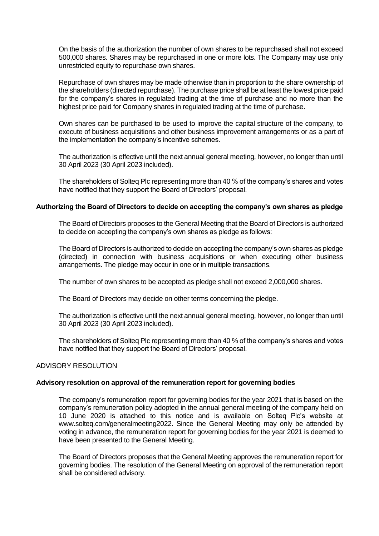On the basis of the authorization the number of own shares to be repurchased shall not exceed 500,000 shares. Shares may be repurchased in one or more lots. The Company may use only unrestricted equity to repurchase own shares.

Repurchase of own shares may be made otherwise than in proportion to the share ownership of the shareholders (directed repurchase). The purchase price shall be at least the lowest price paid for the company's shares in regulated trading at the time of purchase and no more than the highest price paid for Company shares in regulated trading at the time of purchase.

Own shares can be purchased to be used to improve the capital structure of the company, to execute of business acquisitions and other business improvement arrangements or as a part of the implementation the company's incentive schemes.

The authorization is effective until the next annual general meeting, however, no longer than until 30 April 2023 (30 April 2023 included).

The shareholders of Solteq Plc representing more than 40 % of the company's shares and votes have notified that they support the Board of Directors' proposal.

### **Authorizing the Board of Directors to decide on accepting the company's own shares as pledge**

The Board of Directors proposes to the General Meeting that the Board of Directors is authorized to decide on accepting the company's own shares as pledge as follows:

The Board of Directors is authorized to decide on accepting the company's own shares as pledge (directed) in connection with business acquisitions or when executing other business arrangements. The pledge may occur in one or in multiple transactions.

The number of own shares to be accepted as pledge shall not exceed 2,000,000 shares.

The Board of Directors may decide on other terms concerning the pledge.

The authorization is effective until the next annual general meeting, however, no longer than until 30 April 2023 (30 April 2023 included).

The shareholders of Solteq Plc representing more than 40 % of the company's shares and votes have notified that they support the Board of Directors' proposal.

### ADVISORY RESOLUTION

### **Advisory resolution on approval of the remuneration report for governing bodies**

The company's remuneration report for governing bodies for the year 2021 that is based on the company's remuneration policy adopted in the annual general meeting of the company held on 10 June 2020 is attached to this notice and is available on Solteq Plc's website at [www.solteq.com/generalmeeting2022.](http://www.solteq.com/generalmeeting2022) Since the General Meeting may only be attended by voting in advance, the remuneration report for governing bodies for the year 2021 is deemed to have been presented to the General Meeting.

The Board of Directors proposes that the General Meeting approves the remuneration report for governing bodies. The resolution of the General Meeting on approval of the remuneration report shall be considered advisory.